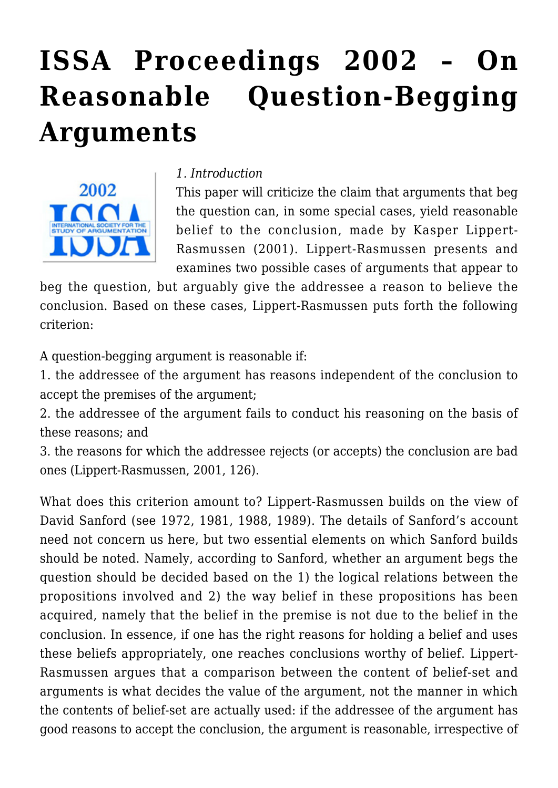# **[ISSA Proceedings 2002 – On](https://rozenbergquarterly.com/issa-proceedings-2002-on-reasonable-question-begging-arguments/) [Reasonable Question-Begging](https://rozenbergquarterly.com/issa-proceedings-2002-on-reasonable-question-begging-arguments/) [Arguments](https://rozenbergquarterly.com/issa-proceedings-2002-on-reasonable-question-begging-arguments/)**



#### *1. Introduction*

This paper will criticize the claim that arguments that beg the question can, in some special cases, yield reasonable belief to the conclusion, made by Kasper Lippert-Rasmussen (2001). Lippert-Rasmussen presents and examines two possible cases of arguments that appear to

beg the question, but arguably give the addressee a reason to believe the conclusion. Based on these cases, Lippert-Rasmussen puts forth the following criterion:

A question-begging argument is reasonable if:

1. the addressee of the argument has reasons independent of the conclusion to accept the premises of the argument;

2. the addressee of the argument fails to conduct his reasoning on the basis of these reasons; and

3. the reasons for which the addressee rejects (or accepts) the conclusion are bad ones (Lippert-Rasmussen, 2001, 126).

What does this criterion amount to? Lippert-Rasmussen builds on the view of David Sanford (see 1972, 1981, 1988, 1989). The details of Sanford's account need not concern us here, but two essential elements on which Sanford builds should be noted. Namely, according to Sanford, whether an argument begs the question should be decided based on the 1) the logical relations between the propositions involved and 2) the way belief in these propositions has been acquired, namely that the belief in the premise is not due to the belief in the conclusion. In essence, if one has the right reasons for holding a belief and uses these beliefs appropriately, one reaches conclusions worthy of belief. Lippert-Rasmussen argues that a comparison between the content of belief-set and arguments is what decides the value of the argument, not the manner in which the contents of belief-set are actually used: if the addressee of the argument has good reasons to accept the conclusion, the argument is reasonable, irrespective of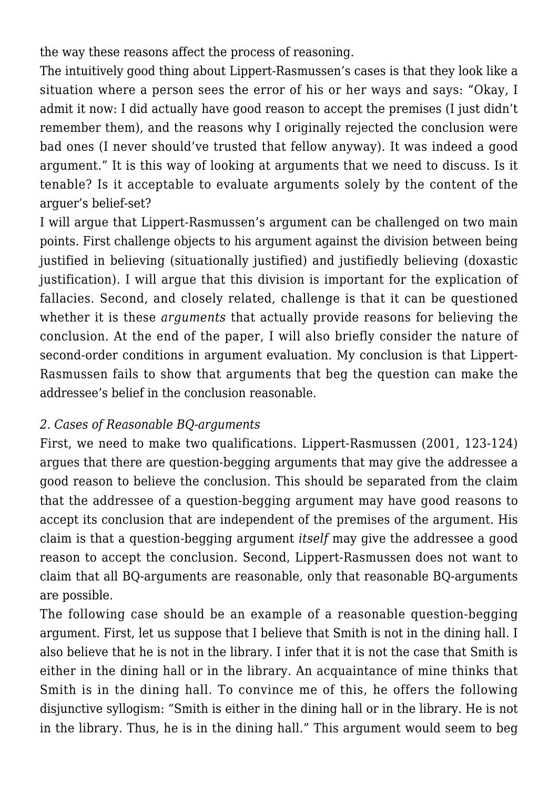the way these reasons affect the process of reasoning.

The intuitively good thing about Lippert-Rasmussen's cases is that they look like a situation where a person sees the error of his or her ways and says: "Okay, I admit it now: I did actually have good reason to accept the premises (I just didn't remember them), and the reasons why I originally rejected the conclusion were bad ones (I never should've trusted that fellow anyway). It was indeed a good argument." It is this way of looking at arguments that we need to discuss. Is it tenable? Is it acceptable to evaluate arguments solely by the content of the arguer's belief-set?

I will argue that Lippert-Rasmussen's argument can be challenged on two main points. First challenge objects to his argument against the division between being justified in believing (situationally justified) and justifiedly believing (doxastic justification). I will argue that this division is important for the explication of fallacies. Second, and closely related, challenge is that it can be questioned whether it is these *arguments* that actually provide reasons for believing the conclusion. At the end of the paper, I will also briefly consider the nature of second-order conditions in argument evaluation. My conclusion is that Lippert-Rasmussen fails to show that arguments that beg the question can make the addressee's belief in the conclusion reasonable.

# *2. Cases of Reasonable BQ-arguments*

First, we need to make two qualifications. Lippert-Rasmussen (2001, 123-124) argues that there are question-begging arguments that may give the addressee a good reason to believe the conclusion. This should be separated from the claim that the addressee of a question-begging argument may have good reasons to accept its conclusion that are independent of the premises of the argument. His claim is that a question-begging argument *itself* may give the addressee a good reason to accept the conclusion. Second, Lippert-Rasmussen does not want to claim that all BQ-arguments are reasonable, only that reasonable BQ-arguments are possible.

The following case should be an example of a reasonable question-begging argument. First, let us suppose that I believe that Smith is not in the dining hall. I also believe that he is not in the library. I infer that it is not the case that Smith is either in the dining hall or in the library. An acquaintance of mine thinks that Smith is in the dining hall. To convince me of this, he offers the following disjunctive syllogism: "Smith is either in the dining hall or in the library. He is not in the library. Thus, he is in the dining hall." This argument would seem to beg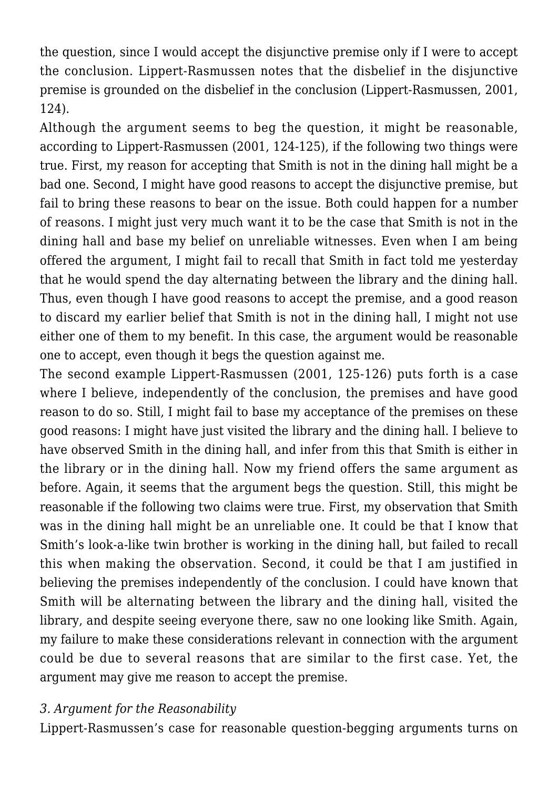the question, since I would accept the disjunctive premise only if I were to accept the conclusion. Lippert-Rasmussen notes that the disbelief in the disjunctive premise is grounded on the disbelief in the conclusion (Lippert-Rasmussen, 2001, 124).

Although the argument seems to beg the question, it might be reasonable, according to Lippert-Rasmussen (2001, 124-125), if the following two things were true. First, my reason for accepting that Smith is not in the dining hall might be a bad one. Second, I might have good reasons to accept the disjunctive premise, but fail to bring these reasons to bear on the issue. Both could happen for a number of reasons. I might just very much want it to be the case that Smith is not in the dining hall and base my belief on unreliable witnesses. Even when I am being offered the argument, I might fail to recall that Smith in fact told me yesterday that he would spend the day alternating between the library and the dining hall. Thus, even though I have good reasons to accept the premise, and a good reason to discard my earlier belief that Smith is not in the dining hall, I might not use either one of them to my benefit. In this case, the argument would be reasonable one to accept, even though it begs the question against me.

The second example Lippert-Rasmussen (2001, 125-126) puts forth is a case where I believe, independently of the conclusion, the premises and have good reason to do so. Still, I might fail to base my acceptance of the premises on these good reasons: I might have just visited the library and the dining hall. I believe to have observed Smith in the dining hall, and infer from this that Smith is either in the library or in the dining hall. Now my friend offers the same argument as before. Again, it seems that the argument begs the question. Still, this might be reasonable if the following two claims were true. First, my observation that Smith was in the dining hall might be an unreliable one. It could be that I know that Smith's look-a-like twin brother is working in the dining hall, but failed to recall this when making the observation. Second, it could be that I am justified in believing the premises independently of the conclusion. I could have known that Smith will be alternating between the library and the dining hall, visited the library, and despite seeing everyone there, saw no one looking like Smith. Again, my failure to make these considerations relevant in connection with the argument could be due to several reasons that are similar to the first case. Yet, the argument may give me reason to accept the premise.

#### *3. Argument for the Reasonability*

Lippert-Rasmussen's case for reasonable question-begging arguments turns on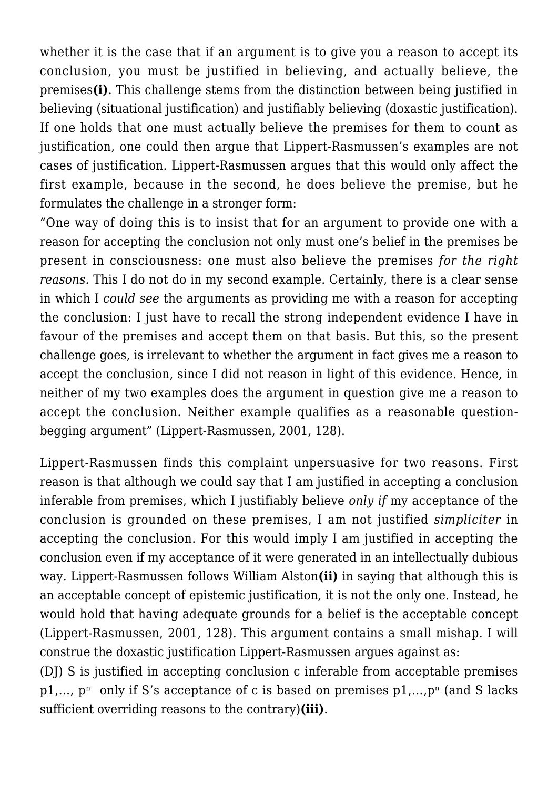whether it is the case that if an argument is to give you a reason to accept its conclusion, you must be justified in believing, and actually believe, the premises**(i)**. This challenge stems from the distinction between being justified in believing (situational justification) and justifiably believing (doxastic justification). If one holds that one must actually believe the premises for them to count as justification, one could then argue that Lippert-Rasmussen's examples are not cases of justification. Lippert-Rasmussen argues that this would only affect the first example, because in the second, he does believe the premise, but he formulates the challenge in a stronger form:

"One way of doing this is to insist that for an argument to provide one with a reason for accepting the conclusion not only must one's belief in the premises be present in consciousness: one must also believe the premises *for the right reasons.* This I do not do in my second example. Certainly, there is a clear sense in which I *could see* the arguments as providing me with a reason for accepting the conclusion: I just have to recall the strong independent evidence I have in favour of the premises and accept them on that basis. But this, so the present challenge goes, is irrelevant to whether the argument in fact gives me a reason to accept the conclusion, since I did not reason in light of this evidence. Hence, in neither of my two examples does the argument in question give me a reason to accept the conclusion. Neither example qualifies as a reasonable questionbegging argument" (Lippert-Rasmussen, 2001, 128).

Lippert-Rasmussen finds this complaint unpersuasive for two reasons. First reason is that although we could say that I am justified in accepting a conclusion inferable from premises, which I justifiably believe *only if* my acceptance of the conclusion is grounded on these premises, I am not justified *simpliciter* in accepting the conclusion. For this would imply I am justified in accepting the conclusion even if my acceptance of it were generated in an intellectually dubious way. Lippert-Rasmussen follows William Alston**(ii)** in saying that although this is an acceptable concept of epistemic justification, it is not the only one. Instead, he would hold that having adequate grounds for a belief is the acceptable concept (Lippert-Rasmussen, 2001, 128). This argument contains a small mishap. I will construe the doxastic justification Lippert-Rasmussen argues against as:

(DJ) S is justified in accepting conclusion c inferable from acceptable premises p1,...,  $p^n$  only if S's acceptance of c is based on premises  $p1,...,p^n$  (and S lacks sufficient overriding reasons to the contrary)**(iii)**.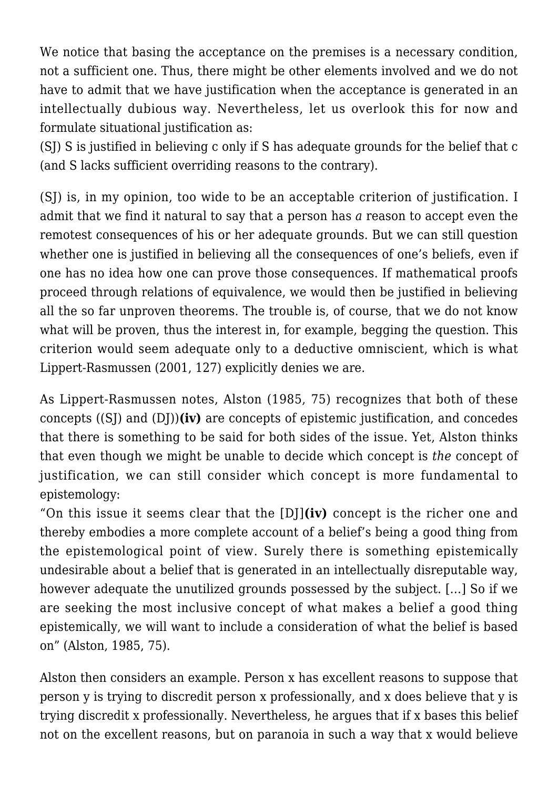We notice that basing the acceptance on the premises is a necessary condition, not a sufficient one. Thus, there might be other elements involved and we do not have to admit that we have justification when the acceptance is generated in an intellectually dubious way. Nevertheless, let us overlook this for now and formulate situational justification as:

(SJ) S is justified in believing c only if S has adequate grounds for the belief that c (and S lacks sufficient overriding reasons to the contrary).

(SJ) is, in my opinion, too wide to be an acceptable criterion of justification. I admit that we find it natural to say that a person has *a* reason to accept even the remotest consequences of his or her adequate grounds. But we can still question whether one is justified in believing all the consequences of one's beliefs, even if one has no idea how one can prove those consequences. If mathematical proofs proceed through relations of equivalence, we would then be justified in believing all the so far unproven theorems. The trouble is, of course, that we do not know what will be proven, thus the interest in, for example, begging the question. This criterion would seem adequate only to a deductive omniscient, which is what Lippert-Rasmussen (2001, 127) explicitly denies we are.

As Lippert-Rasmussen notes, Alston (1985, 75) recognizes that both of these concepts ((SJ) and (DJ))**(iv)** are concepts of epistemic justification, and concedes that there is something to be said for both sides of the issue. Yet, Alston thinks that even though we might be unable to decide which concept is *the* concept of justification, we can still consider which concept is more fundamental to epistemology:

"On this issue it seems clear that the [DJ]**(iv)** concept is the richer one and thereby embodies a more complete account of a belief's being a good thing from the epistemological point of view. Surely there is something epistemically undesirable about a belief that is generated in an intellectually disreputable way, however adequate the unutilized grounds possessed by the subject. […] So if we are seeking the most inclusive concept of what makes a belief a good thing epistemically, we will want to include a consideration of what the belief is based on" (Alston, 1985, 75).

Alston then considers an example. Person x has excellent reasons to suppose that person y is trying to discredit person x professionally, and x does believe that y is trying discredit x professionally. Nevertheless, he argues that if x bases this belief not on the excellent reasons, but on paranoia in such a way that x would believe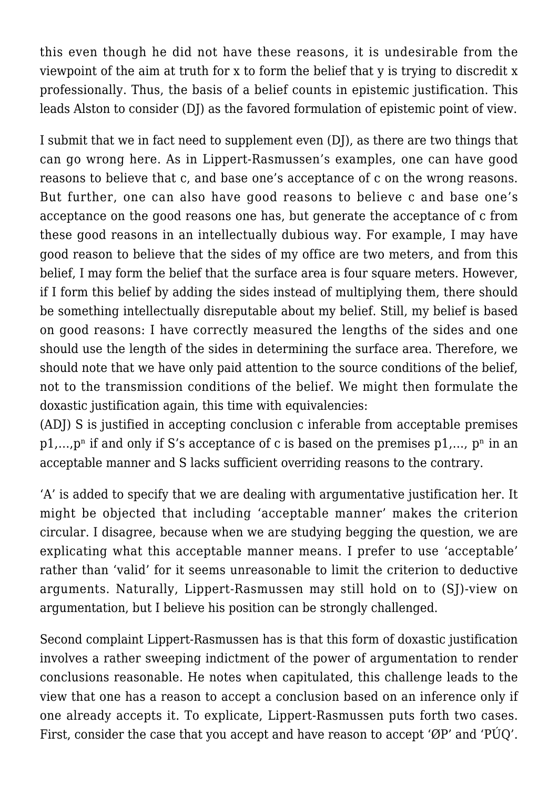this even though he did not have these reasons, it is undesirable from the viewpoint of the aim at truth for x to form the belief that y is trying to discredit x professionally. Thus, the basis of a belief counts in epistemic justification. This leads Alston to consider (DJ) as the favored formulation of epistemic point of view.

I submit that we in fact need to supplement even (DJ), as there are two things that can go wrong here. As in Lippert-Rasmussen's examples, one can have good reasons to believe that c, and base one's acceptance of c on the wrong reasons. But further, one can also have good reasons to believe c and base one's acceptance on the good reasons one has, but generate the acceptance of c from these good reasons in an intellectually dubious way. For example, I may have good reason to believe that the sides of my office are two meters, and from this belief. I may form the belief that the surface area is four square meters. However, if I form this belief by adding the sides instead of multiplying them, there should be something intellectually disreputable about my belief. Still, my belief is based on good reasons: I have correctly measured the lengths of the sides and one should use the length of the sides in determining the surface area. Therefore, we should note that we have only paid attention to the source conditions of the belief, not to the transmission conditions of the belief. We might then formulate the doxastic justification again, this time with equivalencies:

(ADJ) S is justified in accepting conclusion c inferable from acceptable premises  $p_1,...,p_n$  if and only if S's acceptance of c is based on the premises  $p_1,...,p_n$  in an acceptable manner and S lacks sufficient overriding reasons to the contrary.

'A' is added to specify that we are dealing with argumentative justification her. It might be objected that including 'acceptable manner' makes the criterion circular. I disagree, because when we are studying begging the question, we are explicating what this acceptable manner means. I prefer to use 'acceptable' rather than 'valid' for it seems unreasonable to limit the criterion to deductive arguments. Naturally, Lippert-Rasmussen may still hold on to (SJ)-view on argumentation, but I believe his position can be strongly challenged.

Second complaint Lippert-Rasmussen has is that this form of doxastic justification involves a rather sweeping indictment of the power of argumentation to render conclusions reasonable. He notes when capitulated, this challenge leads to the view that one has a reason to accept a conclusion based on an inference only if one already accepts it. To explicate, Lippert-Rasmussen puts forth two cases. First, consider the case that you accept and have reason to accept 'ØP' and 'PÚQ'.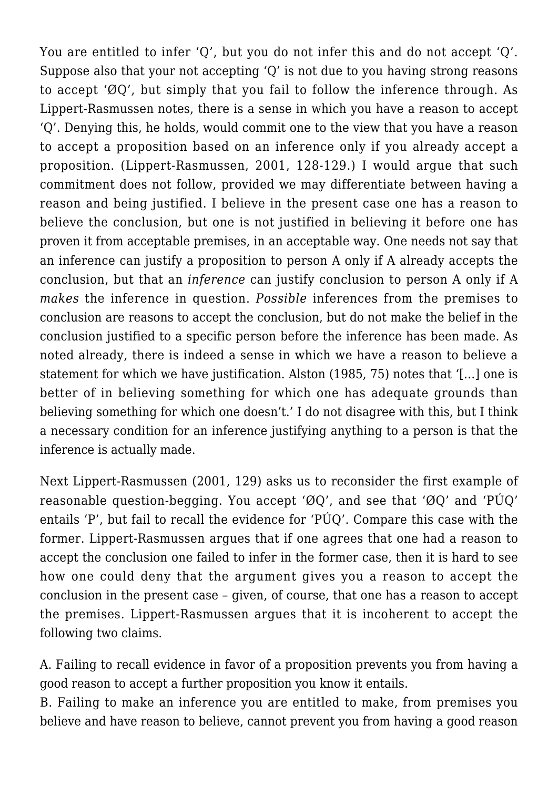You are entitled to infer 'Q', but you do not infer this and do not accept 'Q'. Suppose also that your not accepting 'Q' is not due to you having strong reasons to accept 'ØQ', but simply that you fail to follow the inference through. As Lippert-Rasmussen notes, there is a sense in which you have a reason to accept 'Q'. Denying this, he holds, would commit one to the view that you have a reason to accept a proposition based on an inference only if you already accept a proposition. (Lippert-Rasmussen, 2001, 128-129.) I would argue that such commitment does not follow, provided we may differentiate between having a reason and being justified. I believe in the present case one has a reason to believe the conclusion, but one is not justified in believing it before one has proven it from acceptable premises, in an acceptable way. One needs not say that an inference can justify a proposition to person A only if A already accepts the conclusion, but that an *inference* can justify conclusion to person A only if A *makes* the inference in question. *Possible* inferences from the premises to conclusion are reasons to accept the conclusion, but do not make the belief in the conclusion justified to a specific person before the inference has been made. As noted already, there is indeed a sense in which we have a reason to believe a statement for which we have justification. Alston (1985, 75) notes that '[…] one is better of in believing something for which one has adequate grounds than believing something for which one doesn't.' I do not disagree with this, but I think a necessary condition for an inference justifying anything to a person is that the inference is actually made.

Next Lippert-Rasmussen (2001, 129) asks us to reconsider the first example of reasonable question-begging. You accept 'ØQ', and see that 'ØQ' and 'PÚQ' entails 'P', but fail to recall the evidence for 'PÚQ'. Compare this case with the former. Lippert-Rasmussen argues that if one agrees that one had a reason to accept the conclusion one failed to infer in the former case, then it is hard to see how one could deny that the argument gives you a reason to accept the conclusion in the present case – given, of course, that one has a reason to accept the premises. Lippert-Rasmussen argues that it is incoherent to accept the following two claims.

A. Failing to recall evidence in favor of a proposition prevents you from having a good reason to accept a further proposition you know it entails.

B. Failing to make an inference you are entitled to make, from premises you believe and have reason to believe, cannot prevent you from having a good reason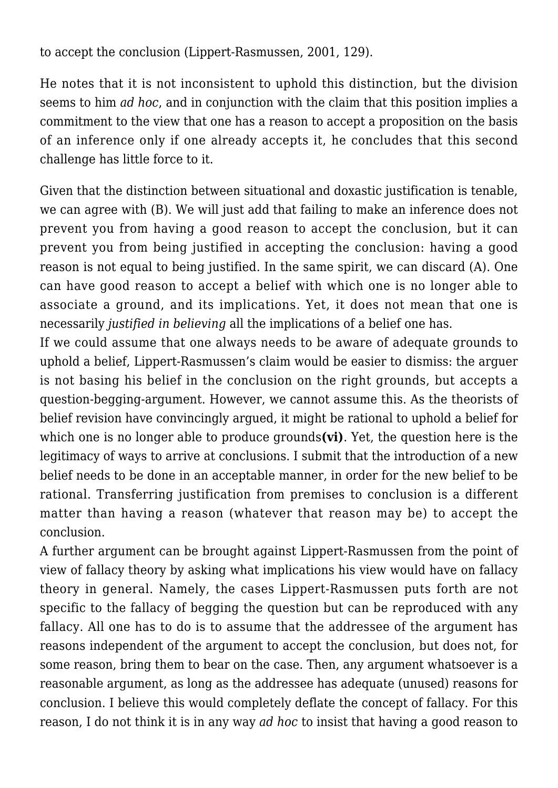to accept the conclusion (Lippert-Rasmussen, 2001, 129).

He notes that it is not inconsistent to uphold this distinction, but the division seems to him *ad hoc*, and in conjunction with the claim that this position implies a commitment to the view that one has a reason to accept a proposition on the basis of an inference only if one already accepts it, he concludes that this second challenge has little force to it.

Given that the distinction between situational and doxastic justification is tenable, we can agree with (B). We will just add that failing to make an inference does not prevent you from having a good reason to accept the conclusion, but it can prevent you from being justified in accepting the conclusion: having a good reason is not equal to being justified. In the same spirit, we can discard (A). One can have good reason to accept a belief with which one is no longer able to associate a ground, and its implications. Yet, it does not mean that one is necessarily *justified in believing* all the implications of a belief one has.

If we could assume that one always needs to be aware of adequate grounds to uphold a belief, Lippert-Rasmussen's claim would be easier to dismiss: the arguer is not basing his belief in the conclusion on the right grounds, but accepts a question-begging-argument. However, we cannot assume this. As the theorists of belief revision have convincingly argued, it might be rational to uphold a belief for which one is no longer able to produce grounds**(vi)**. Yet, the question here is the legitimacy of ways to arrive at conclusions. I submit that the introduction of a new belief needs to be done in an acceptable manner, in order for the new belief to be rational. Transferring justification from premises to conclusion is a different matter than having a reason (whatever that reason may be) to accept the conclusion.

A further argument can be brought against Lippert-Rasmussen from the point of view of fallacy theory by asking what implications his view would have on fallacy theory in general. Namely, the cases Lippert-Rasmussen puts forth are not specific to the fallacy of begging the question but can be reproduced with any fallacy. All one has to do is to assume that the addressee of the argument has reasons independent of the argument to accept the conclusion, but does not, for some reason, bring them to bear on the case. Then, any argument whatsoever is a reasonable argument, as long as the addressee has adequate (unused) reasons for conclusion. I believe this would completely deflate the concept of fallacy. For this reason, I do not think it is in any way *ad hoc* to insist that having a good reason to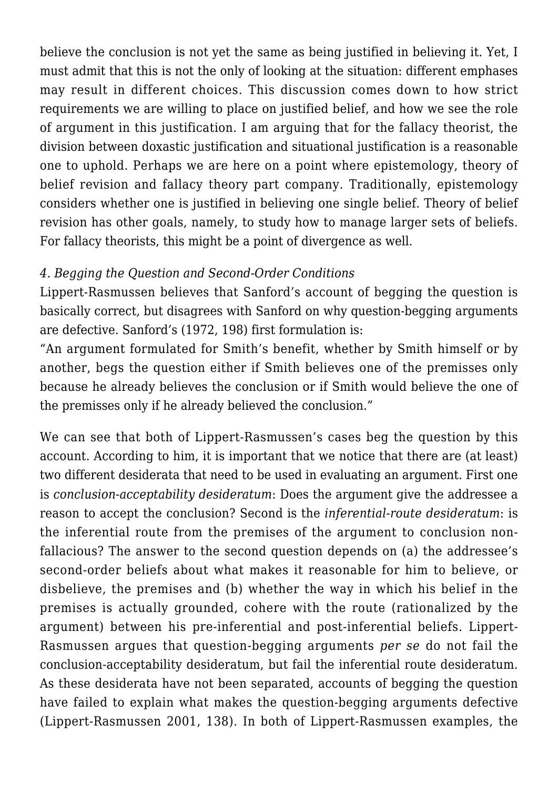believe the conclusion is not yet the same as being justified in believing it. Yet, I must admit that this is not the only of looking at the situation: different emphases may result in different choices. This discussion comes down to how strict requirements we are willing to place on justified belief, and how we see the role of argument in this justification. I am arguing that for the fallacy theorist, the division between doxastic justification and situational justification is a reasonable one to uphold. Perhaps we are here on a point where epistemology, theory of belief revision and fallacy theory part company. Traditionally, epistemology considers whether one is justified in believing one single belief. Theory of belief revision has other goals, namely, to study how to manage larger sets of beliefs. For fallacy theorists, this might be a point of divergence as well.

# *4. Begging the Question and Second-Order Conditions*

Lippert-Rasmussen believes that Sanford's account of begging the question is basically correct, but disagrees with Sanford on why question-begging arguments are defective. Sanford's (1972, 198) first formulation is:

"An argument formulated for Smith's benefit, whether by Smith himself or by another, begs the question either if Smith believes one of the premisses only because he already believes the conclusion or if Smith would believe the one of the premisses only if he already believed the conclusion."

We can see that both of Lippert-Rasmussen's cases beg the question by this account. According to him, it is important that we notice that there are (at least) two different desiderata that need to be used in evaluating an argument. First one is *conclusion-acceptability desideratum*: Does the argument give the addressee a reason to accept the conclusion? Second is the *inferential-route desideratum*: is the inferential route from the premises of the argument to conclusion nonfallacious? The answer to the second question depends on (a) the addressee's second-order beliefs about what makes it reasonable for him to believe, or disbelieve, the premises and (b) whether the way in which his belief in the premises is actually grounded, cohere with the route (rationalized by the argument) between his pre-inferential and post-inferential beliefs. Lippert-Rasmussen argues that question-begging arguments *per se* do not fail the conclusion-acceptability desideratum, but fail the inferential route desideratum. As these desiderata have not been separated, accounts of begging the question have failed to explain what makes the question-begging arguments defective (Lippert-Rasmussen 2001, 138). In both of Lippert-Rasmussen examples, the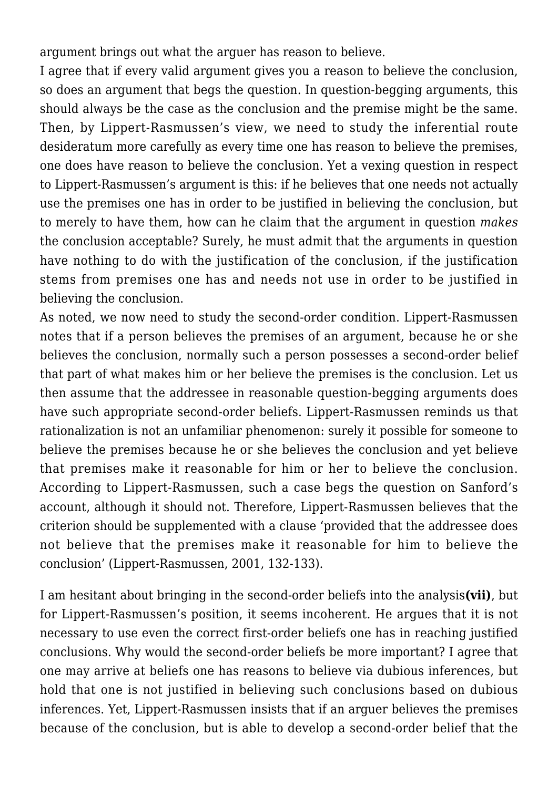argument brings out what the arguer has reason to believe.

I agree that if every valid argument gives you a reason to believe the conclusion, so does an argument that begs the question. In question-begging arguments, this should always be the case as the conclusion and the premise might be the same. Then, by Lippert-Rasmussen's view, we need to study the inferential route desideratum more carefully as every time one has reason to believe the premises, one does have reason to believe the conclusion. Yet a vexing question in respect to Lippert-Rasmussen's argument is this: if he believes that one needs not actually use the premises one has in order to be justified in believing the conclusion, but to merely to have them, how can he claim that the argument in question *makes* the conclusion acceptable? Surely, he must admit that the arguments in question have nothing to do with the justification of the conclusion, if the justification stems from premises one has and needs not use in order to be justified in believing the conclusion.

As noted, we now need to study the second-order condition. Lippert-Rasmussen notes that if a person believes the premises of an argument, because he or she believes the conclusion, normally such a person possesses a second-order belief that part of what makes him or her believe the premises is the conclusion. Let us then assume that the addressee in reasonable question-begging arguments does have such appropriate second-order beliefs. Lippert-Rasmussen reminds us that rationalization is not an unfamiliar phenomenon: surely it possible for someone to believe the premises because he or she believes the conclusion and yet believe that premises make it reasonable for him or her to believe the conclusion. According to Lippert-Rasmussen, such a case begs the question on Sanford's account, although it should not. Therefore, Lippert-Rasmussen believes that the criterion should be supplemented with a clause 'provided that the addressee does not believe that the premises make it reasonable for him to believe the conclusion' (Lippert-Rasmussen, 2001, 132-133).

I am hesitant about bringing in the second-order beliefs into the analysis**(vii)**, but for Lippert-Rasmussen's position, it seems incoherent. He argues that it is not necessary to use even the correct first-order beliefs one has in reaching justified conclusions. Why would the second-order beliefs be more important? I agree that one may arrive at beliefs one has reasons to believe via dubious inferences, but hold that one is not justified in believing such conclusions based on dubious inferences. Yet, Lippert-Rasmussen insists that if an arguer believes the premises because of the conclusion, but is able to develop a second-order belief that the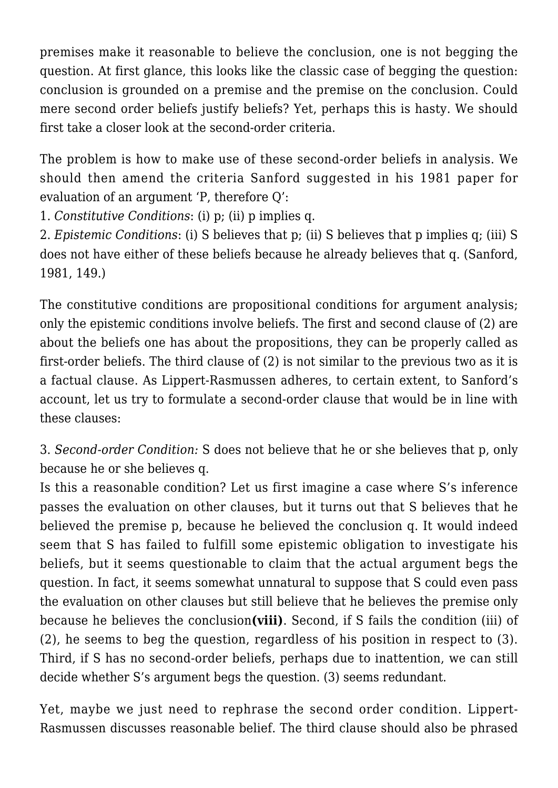premises make it reasonable to believe the conclusion, one is not begging the question. At first glance, this looks like the classic case of begging the question: conclusion is grounded on a premise and the premise on the conclusion. Could mere second order beliefs justify beliefs? Yet, perhaps this is hasty. We should first take a closer look at the second-order criteria.

The problem is how to make use of these second-order beliefs in analysis. We should then amend the criteria Sanford suggested in his 1981 paper for evaluation of an argument 'P, therefore Q':

1. *Constitutive Conditions*: (i) p; (ii) p implies q.

2. *Epistemic Conditions*: (i) S believes that p; (ii) S believes that p implies q; (iii) S does not have either of these beliefs because he already believes that q. (Sanford, 1981, 149.)

The constitutive conditions are propositional conditions for argument analysis; only the epistemic conditions involve beliefs. The first and second clause of (2) are about the beliefs one has about the propositions, they can be properly called as first-order beliefs. The third clause of (2) is not similar to the previous two as it is a factual clause. As Lippert-Rasmussen adheres, to certain extent, to Sanford's account, let us try to formulate a second-order clause that would be in line with these clauses:

3. *Second-order Condition:* S does not believe that he or she believes that p, only because he or she believes q.

Is this a reasonable condition? Let us first imagine a case where S's inference passes the evaluation on other clauses, but it turns out that S believes that he believed the premise p, because he believed the conclusion q. It would indeed seem that S has failed to fulfill some epistemic obligation to investigate his beliefs, but it seems questionable to claim that the actual argument begs the question. In fact, it seems somewhat unnatural to suppose that S could even pass the evaluation on other clauses but still believe that he believes the premise only because he believes the conclusion**(viii)**. Second, if S fails the condition (iii) of (2), he seems to beg the question, regardless of his position in respect to (3). Third, if S has no second-order beliefs, perhaps due to inattention, we can still decide whether S's argument begs the question. (3) seems redundant.

Yet, maybe we just need to rephrase the second order condition. Lippert-Rasmussen discusses reasonable belief. The third clause should also be phrased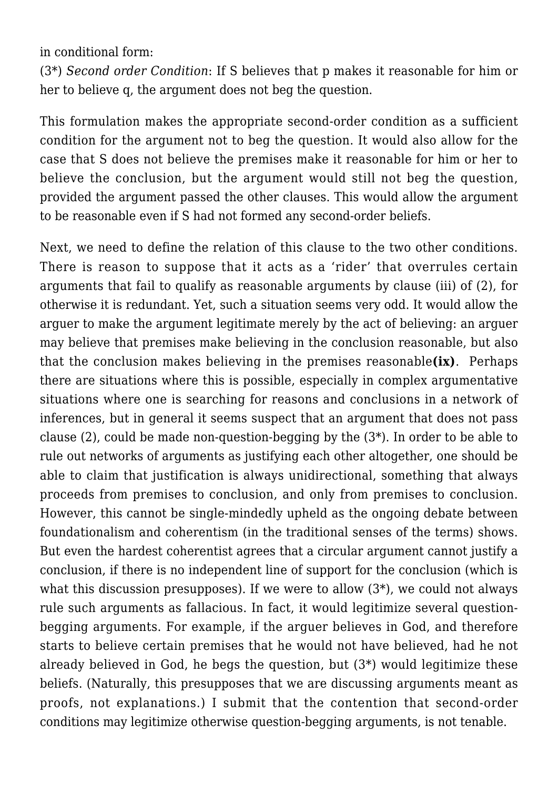in conditional form:

(3\*) *Second order Condition*: If S believes that p makes it reasonable for him or her to believe q, the argument does not beg the question.

This formulation makes the appropriate second-order condition as a sufficient condition for the argument not to beg the question. It would also allow for the case that S does not believe the premises make it reasonable for him or her to believe the conclusion, but the argument would still not beg the question, provided the argument passed the other clauses. This would allow the argument to be reasonable even if S had not formed any second-order beliefs.

Next, we need to define the relation of this clause to the two other conditions. There is reason to suppose that it acts as a 'rider' that overrules certain arguments that fail to qualify as reasonable arguments by clause (iii) of (2), for otherwise it is redundant. Yet, such a situation seems very odd. It would allow the arguer to make the argument legitimate merely by the act of believing: an arguer may believe that premises make believing in the conclusion reasonable, but also that the conclusion makes believing in the premises reasonable**(ix)**. Perhaps there are situations where this is possible, especially in complex argumentative situations where one is searching for reasons and conclusions in a network of inferences, but in general it seems suspect that an argument that does not pass clause (2), could be made non-question-begging by the (3\*). In order to be able to rule out networks of arguments as justifying each other altogether, one should be able to claim that justification is always unidirectional, something that always proceeds from premises to conclusion, and only from premises to conclusion. However, this cannot be single-mindedly upheld as the ongoing debate between foundationalism and coherentism (in the traditional senses of the terms) shows. But even the hardest coherentist agrees that a circular argument cannot justify a conclusion, if there is no independent line of support for the conclusion (which is what this discussion presupposes). If we were to allow  $(3^*)$ , we could not always rule such arguments as fallacious. In fact, it would legitimize several questionbegging arguments. For example, if the arguer believes in God, and therefore starts to believe certain premises that he would not have believed, had he not already believed in God, he begs the question, but (3\*) would legitimize these beliefs. (Naturally, this presupposes that we are discussing arguments meant as proofs, not explanations.) I submit that the contention that second-order conditions may legitimize otherwise question-begging arguments, is not tenable.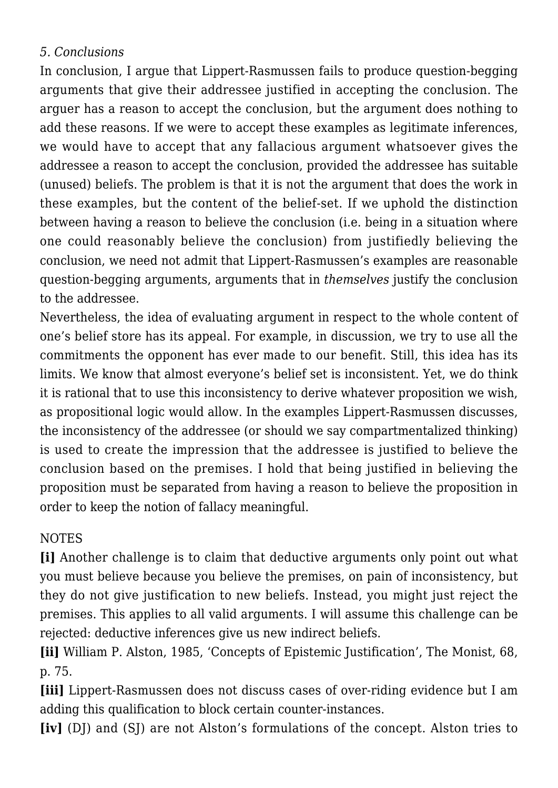#### *5. Conclusions*

In conclusion, I argue that Lippert-Rasmussen fails to produce question-begging arguments that give their addressee justified in accepting the conclusion. The arguer has a reason to accept the conclusion, but the argument does nothing to add these reasons. If we were to accept these examples as legitimate inferences, we would have to accept that any fallacious argument whatsoever gives the addressee a reason to accept the conclusion, provided the addressee has suitable (unused) beliefs. The problem is that it is not the argument that does the work in these examples, but the content of the belief-set. If we uphold the distinction between having a reason to believe the conclusion (i.e. being in a situation where one could reasonably believe the conclusion) from justifiedly believing the conclusion, we need not admit that Lippert-Rasmussen's examples are reasonable question-begging arguments, arguments that in *themselves* justify the conclusion to the addressee.

Nevertheless, the idea of evaluating argument in respect to the whole content of one's belief store has its appeal. For example, in discussion, we try to use all the commitments the opponent has ever made to our benefit. Still, this idea has its limits. We know that almost everyone's belief set is inconsistent. Yet, we do think it is rational that to use this inconsistency to derive whatever proposition we wish, as propositional logic would allow. In the examples Lippert-Rasmussen discusses, the inconsistency of the addressee (or should we say compartmentalized thinking) is used to create the impression that the addressee is justified to believe the conclusion based on the premises. I hold that being justified in believing the proposition must be separated from having a reason to believe the proposition in order to keep the notion of fallacy meaningful.

# NOTES

**[i]** Another challenge is to claim that deductive arguments only point out what you must believe because you believe the premises, on pain of inconsistency, but they do not give justification to new beliefs. Instead, you might just reject the premises. This applies to all valid arguments. I will assume this challenge can be rejected: deductive inferences give us new indirect beliefs.

**[ii]** William P. Alston, 1985, 'Concepts of Epistemic Justification', The Monist, 68, p. 75.

**[iii]** Lippert-Rasmussen does not discuss cases of over-riding evidence but I am adding this qualification to block certain counter-instances.

**[iv]** (DJ) and (SJ) are not Alston's formulations of the concept. Alston tries to